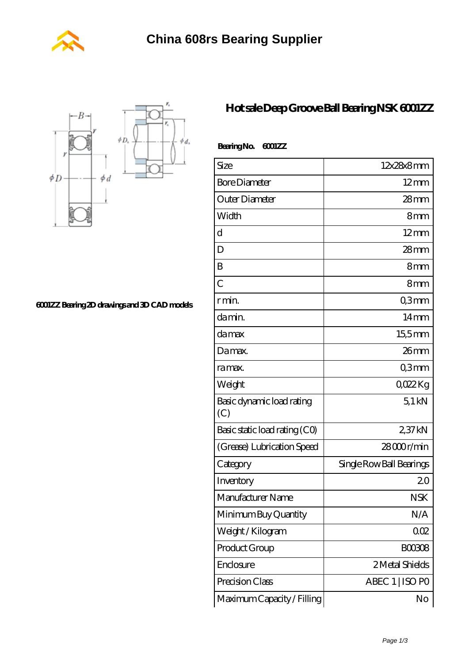



**[6001ZZ Bearing 2D drawings and 3D CAD models](https://m.wanatahschool.com/pic-510983.html)**

## **[Hot sale Deep Groove Ball Bearing NSK 6001ZZ](https://m.wanatahschool.com/nsk-6001zz-bearing/)**

| BearingNo.<br>6001ZZ             |                          |
|----------------------------------|--------------------------|
| Size                             | 12x28x8mm                |
| <b>Bore Diameter</b>             | $12 \text{mm}$           |
| Outer Diameter                   | $28 \text{mm}$           |
| Width                            | 8mm                      |
| d                                | $12 \text{mm}$           |
| D                                | $28 \text{mm}$           |
| B                                | 8mm                      |
| $\overline{C}$                   | 8mm                      |
| r min.                           | Q3mm                     |
| da min.                          | $14 \text{mm}$           |
| damax                            | 155mm                    |
| Damax.                           | 26mm                     |
| ra max.                          | Q3mm                     |
| Weight                           | QO22Kg                   |
| Basic dynamic load rating<br>(C) | 51kN                     |
| Basic static load rating (CO)    | 2,37 kN                  |
| (Grease) Lubrication Speed       | 28000r/min               |
| Category                         | Single Row Ball Bearings |
| Inventory                        | 20                       |
| Manufacturer Name                | <b>NSK</b>               |
| Minimum Buy Quantity             | N/A                      |
| Weight / Kilogram                | 002                      |
| Product Group                    | BOO3O8                   |
| Enclosure                        | 2 Metal Shields          |
| Precision Class                  | ABEC 1   ISO PO          |
| Maximum Capacity / Filling       | No                       |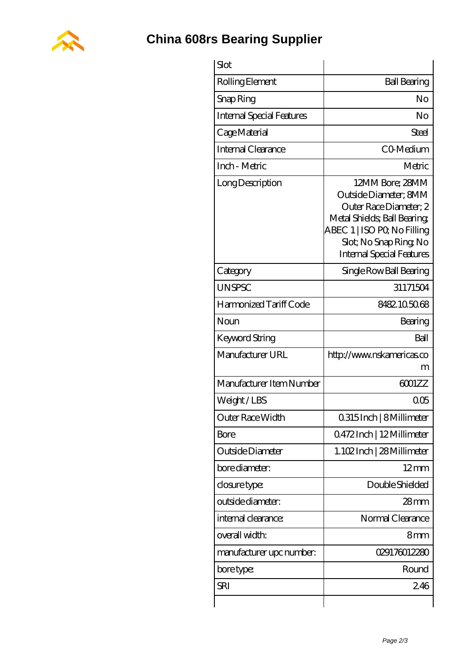

**[China 608rs Bearing Supplier](https://m.wanatahschool.com)**

| Slot                             |                                                                                                                                                                                               |
|----------------------------------|-----------------------------------------------------------------------------------------------------------------------------------------------------------------------------------------------|
| Rolling Element                  | <b>Ball Bearing</b>                                                                                                                                                                           |
| Snap Ring                        | No                                                                                                                                                                                            |
| <b>Internal Special Features</b> | No                                                                                                                                                                                            |
| Cage Material                    | Steel                                                                                                                                                                                         |
| Internal Clearance               | CO-Medium                                                                                                                                                                                     |
| Inch - Metric                    | Metric                                                                                                                                                                                        |
| Long Description                 | 12MM Bore; 28MM<br>Outside Diameter; 8MM<br>Outer Race Diameter; 2<br>Metal Shields; Ball Bearing;<br>ABEC 1   ISO PQ No Filling<br>Slot; No Snap Ring No<br><b>Internal Special Features</b> |
| Category                         | Single Row Ball Bearing                                                                                                                                                                       |
| <b>UNSPSC</b>                    | 31171504                                                                                                                                                                                      |
| Harmonized Tariff Code           | 8482105068                                                                                                                                                                                    |
| Noun                             | Bearing                                                                                                                                                                                       |
| Keyword String                   | Ball                                                                                                                                                                                          |
| Manufacturer URL                 | http://www.nskamericas.co<br>m                                                                                                                                                                |
| Manufacturer Item Number         | 6001ZZ                                                                                                                                                                                        |
| Weight/LBS                       | QŒ                                                                                                                                                                                            |
| Outer Race Width                 | 0.315 Inch   8 Millimeter                                                                                                                                                                     |
| <b>Bore</b>                      | Q472Inch   12Millimeter                                                                                                                                                                       |
| Outside Diameter                 | 1.102Inch   28 Millimeter                                                                                                                                                                     |
| bore diameter:                   | $12 \text{mm}$                                                                                                                                                                                |
| closure type:                    | Double Shielded                                                                                                                                                                               |
| outside diameter:                | $28$ mm                                                                                                                                                                                       |
| internal clearance:              | Normal Clearance                                                                                                                                                                              |
| overall width:                   | 8mm                                                                                                                                                                                           |
| manufacturer upc number:         | 029176012280                                                                                                                                                                                  |
| bore type:                       | Round                                                                                                                                                                                         |
| SRI                              | 246                                                                                                                                                                                           |
|                                  |                                                                                                                                                                                               |